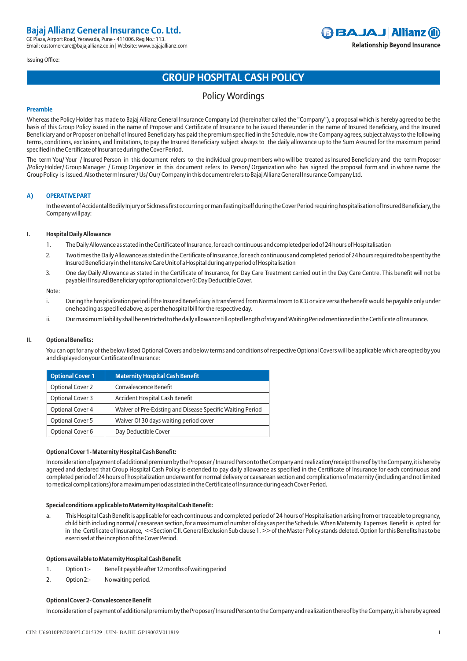### Issuing Office:

## **BAJAJ Allianz (ii) Relationship Beyond Insurance**

# **GROUP HOSPITAL CASH POLICY**

## Policy Wordings

### **Preamble**

Whereas the Policy Holder has made to Bajaj Allianz General Insurance Company Ltd (hereinafter called the "Company"), a proposal which is hereby agreed to be the basis of this Group Policy issued in the name of Proposer and Certificate of Insurance to be issued thereunder in the name of Insured Beneficiary, and the Insured Beneficiary and or Proposer on behalf of Insured Beneficiary has paid the premium specified in the Schedule, now the Company agrees, subject always to the following terms, conditions, exclusions, and limitations, to pay the Insured Beneficiary subject always to the daily allowance up to the Sum Assured for the maximum period specified in the Certificate of Insurance during the Cover Period.

The term You/ Your / Insured Person in this document refers to the individual group members who will be treated as Insured Beneficiary and the term Proposer /Policy Holder/ Group Manager / Group Organizer in this document refers to Person/ Organization who has signed the proposal form and in whose name the Group Policy is issued. Also the term Insurer/ Us/ Our/ Company in this document refers to Bajaj Allianz General Insurance Company Ltd.

## **A) OPERATIVE PART**

In the event of Accidental Bodily Injury or Sickness first occurring or manifesting itself during the Cover Period requiring hospitalisation of Insured Beneficiary, the Company will pay:

## **I. Hospital Daily Allowance**

- 1. The Daily Allowance as stated in the Certificate of Insurance, for each continuous and completed period of 24 hours of Hospitalisation
- 2. Two times the Daily Allowance as stated in the Certificate of Insurance ,for each continuous and completed period of 24 hours required to be spent by the Insured Beneficiary in the Intensive Care Unit of a Hospital during any period of Hospitalisation
- 3. One day Daily Allowance as stated in the Certificate of Insurance, for Day Care Treatment carried out in the Day Care Centre. This benefit will not be payable if Insured Beneficiary opt for optional cover 6: Day Deductible Cover.

### Note:

- i. During the hospitalization period if the Insured Beneficiary is transferred from Normal room to ICU or vice versa the benefit would be payable only under one heading as specified above, as per the hospital bill for the respective day.
- ii. Our maximum liability shall be restricted to the daily allowance till opted length of stay and Waiting Period mentioned in the Certificate of Insurance.

## **II. Optional Benefits:**

 You can opt for any of the below listed Optional Covers and below terms and conditions of respective Optional Covers will be applicable which are opted by you and displayed on your Certificate of Insurance:

| <b>Optional Cover 1</b> | <b>Maternity Hospital Cash Benefit</b>                     |
|-------------------------|------------------------------------------------------------|
| <b>Optional Cover 2</b> | Convalescence Benefit                                      |
| <b>Optional Cover 3</b> | <b>Accident Hospital Cash Benefit</b>                      |
| <b>Optional Cover 4</b> | Waiver of Pre-Existing and Disease Specific Waiting Period |
| <b>Optional Cover 5</b> | Waiver Of 30 days waiting period cover                     |
| Optional Cover 6        | Day Deductible Cover                                       |

## **Optional Cover 1- Maternity Hospital Cash Benefit:**

In consideration of payment of additional premium by the Proposer / Insured Person to the Company and realization/receipt thereof by the Company, it is hereby agreed and declared that Group Hospital Cash Policy is extended to pay daily allowance as specified in the Certificate of Insurance for each continuous and completed period of 24 hours of hospitalization underwent for normal delivery or caesarean section and complications of maternity (including and not limited to medical complications) for a maximum period as stated in the Certificate of Insurance during each Cover Period.

## **Special conditions applicable to Maternity Hospital Cash Benefit:**

a. This Hospital Cash Benefit is applicable for each continuous and completed period of 24 hours of Hospitalisation arising from or traceable to pregnancy, child birth including normal/ caesarean section, for a maximum of number of days as per the Schedule. When Maternity Expenses Benefit is opted for in the Certificate of Insurance, <<Section CII. General Exclusion Sub clause 1.>> of the Master Policy stands deleted. Option for this Benefits has to be exercised at the inception of the Cover Period.

## **Options available to Maternity Hospital Cash Benefit**

- 1. Option 1:- Benefit payable after 12 months of waiting period
- 2. Option 2:- No waiting period.

## **Optional Cover 2- Convalescence Benefit**

In consideration of payment of additional premium by the Proposer/ Insured Person to the Company and realization thereof by the Company, it is hereby agreed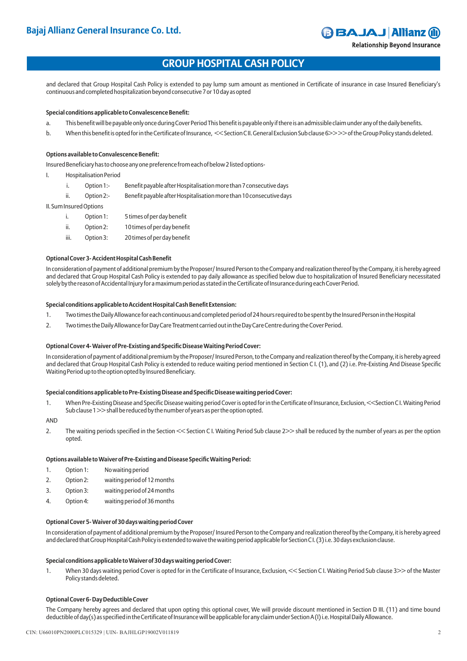**Relationship Beyond Insurance** 

## **GROUP HOSPITAL CASH POLICY**

and declared that Group Hospital Cash Policy is extended to pay lump sum amount as mentioned in Certificate of insurance in case Insured Beneficiary's continuous and completed hospitalization beyond consecutive 7 or 10 day as opted

## **Special conditions applicable to Convalescence Benefit:**

- a. This benefit will be payable only once during Cover Period This benefit is payable only if there is an admissible claim under any of the daily benefits.
- b. When this benefit is opted for in the Certificate of Insurance, << Section C II. General Exclusion Sub clause 6>> >> of the Group Policy stands deleted.

## **Options available to Convalescence Benefit:**

Insured Beneficiary has to choose any one preference from each of below 2 listed options-

- I. Hospitalisation Period
	- i. Option 1:- Benefit payable after Hospitalisation more than 7 consecutive days
	- ii. Option 2:- Benefit payable after Hospitalisation more than 10 consecutive days

II. Sum Insured Options

- i. Option 1: 5 times of per day benefit
- ii. Option 2: 10 times of per day benefit
- iii. Option 3: 20 times of per day benefit

## **Optional Cover 3- Accident Hospital Cash Benefit**

In consideration of payment of additional premium by the Proposer/ Insured Person to the Company and realization thereof by the Company, it is hereby agreed and declared that Group Hospital Cash Policy is extended to pay daily allowance as specified below due to hospitalization of Insured Beneficiary necessitated solely by the reason of Accidental Injury for a maximum period as stated in the Certificate of Insurance during each Cover Period.

## **Special conditions applicable to Accident Hospital Cash Benefit Extension:**

- 1. Two times the Daily Allowance for each continuous and completed period of 24 hours required to be spent by the Insured Person in the Hospital
- 2. Two times the Daily Allowance for Day Care Treatment carried out in the Day Care Centre during the Cover Period.

## **Optional Cover 4- Waiver of Pre-Existing and Specific Disease Waiting Period Cover:**

In consideration of payment of additional premium by the Proposer/ Insured Person, to the Company and realization thereof by the Company, it is hereby agreed and declared that Group Hospital Cash Policy is extended to reduce waiting period mentioned in Section C I. (1), and (2) i.e. Pre-Existing And Disease Specific Waiting Period up to the option opted by Insured Beneficiary.

## **Special conditions applicable to Pre-Existing Disease and Specific Disease waiting period Cover:**

1. When Pre-Existing Disease and Specific Disease waiting period Cover is opted for in the Certificate of Insurance, Exclusion, <<Section C I. Waiting Period Sub clause 1 >> shall be reduced by the number of years as per the option opted.

AND

2. The waiting periods specified in the Section << Section C I. Waiting Period Sub clause 2>> shall be reduced by the number of years as per the option opted.

## **Options available to Waiver of Pre-Existing and Disease Specific Waiting Period:**

- 1. Option 1: No waiting period
- 2. Option 2: waiting period of 12 months
- 3. Option 3: waiting period of 24 months
- 4. Option 4: waiting period of 36 months

## **Optional Cover 5- Waiver of 30 days waiting period Cover**

In consideration of payment of additional premium by the Proposer/ Insured Person to the Company and realization thereof by the Company, it is hereby agreed and declared that Group Hospital Cash Policy is extended to waive the waiting period applicable for Section C I. (3) i.e. 30 days exclusion clause.

## **Special conditions applicable to Waiver of 30 days waiting period Cover:**

1. When 30 days waiting period Cover is opted for in the Certificate of Insurance, Exclusion, << Section C I. Waiting Period Sub clause 3>> of the Master Policy stands deleted.

## **Optional Cover 6- Day Deductible Cover**

The Company hereby agrees and declared that upon opting this optional cover, We will provide discount mentioned in Section D III. (11) and time bound deductible of day(s) as specified in the Certificate of Insurance will be applicable for any claim under Section A (I) i.e. Hospital Daily Allowance.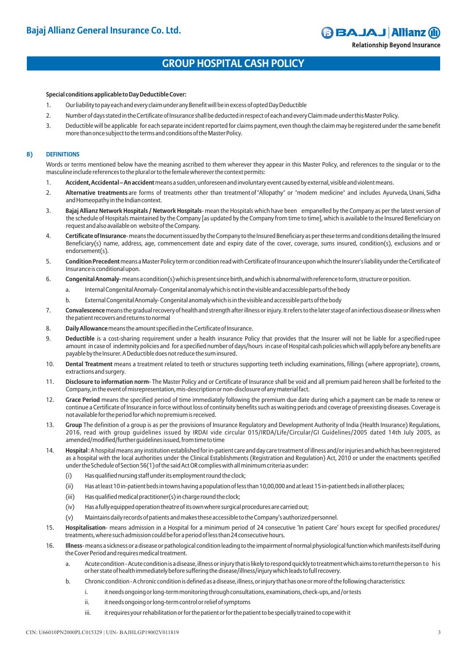## **GROUP HOSPITAL CASH POLICY**

## **Special conditions applicable to Day Deductible Cover:**

- 1. Our liability to pay each and every claim under any Benefit will be in excess of opted Day Deductible
- 2. Number of days stated in the Certificate of Insurance shall be deducted in respect of each and every Claim made under this Master Policy.
- 3. Deductible will be applicable for each separate incident reported for claims payment, even though the claim may be registered under the same benefit more than once subject to the terms and conditions of the Master Policy.

### **B) DEFINITIONS**

Words or terms mentioned below have the meaning ascribed to them wherever they appear in this Master Policy, and references to the singular or to the masculine include references to the plural or to the female wherever the context permits:

- 1. **Accident, Accidental An accident** means a sudden, unforeseen and involuntary event caused by external, visible and violent means.
- 2. **Alternative treatments** are forms of treatments other than treatment of "Allopathy" or "modem medicine" and includes Ayurveda, Unani, Sidha and Homeopathy in the Indian context.
- 3. **Bajaj Allianz Network Hospitals / Network Hospitals** mean the Hospitals which have been empanelled by the Company as per the latest version of the schedule of Hospitals maintained by the Company [as updated by the Company from time to time], which is available to the Insured Beneficiary on request and also available on website of the Company.
- 4. **Certificate of Insurance** means the document issued by the Company to the Insured Beneficiary as per these terms and conditions detailing the Insured Beneficiary(s) name, address, age, commencement date and expiry date of the cover, coverage, sums insured, condition(s), exclusions and or endorsement(s).
- 5. **Condition Precedent** means a Master Policy term or condition read with Certificate of Insurance upon which the Insurer's liability under the Certificate of Insurance is conditional upon.
- 6. **Congenital Anomaly** means a condition(s) which is present since birth, and which is abnormal with reference to form, structure or position.
	- a. Internal Congenital Anomaly- Congenital anomaly which is not in the visible and accessible parts of the body
	- b. External Congenital Anomaly- Congenital anomaly which is in the visible and accessible parts of the body
- 7. **Convalescence**means the gradual recovery of health and strength after illness or injury. It refers to the later stage of an infectious disease or illness when the patient recovers and returns to normal
- 8. **Daily Allowance** means the amount specified in the Certificate of Insurance.
- 9. **Deductible** is a cost-sharing requirement under a health insurance Policy that provides that the Insurer will not be liable for a specified rupee amount in case of indemnity policies and for a specified number of days/hours in case of Hospital cash policies which will apply before any benefits are payable by the Insurer. A Deductible does not reduce the sum insured.
- 10. **Dental Treatment** means a treatment related to teeth or structures supporting teeth including examinations, fillings (where appropriate), crowns, extractions and surgery.
- 11. **Disclosure to information norm** The Master Policy and or Certificate of Insurance shall be void and all premium paid hereon shall be forfeited to the Company, in the event of misrepresentation, mis-description or non-disclosure of any material fact.
- 12. **Grace Period** means the specified period of time immediately following the premium due date during which a payment can be made to renew or continue a Certificate of Insurance in force without loss of continuity benefits such as waiting periods and coverage of preexisting diseases. Coverage is not available for the period for which no premium is received.
- 13. **Group** The definition of a group is as per the provisions of Insurance Regulatory and Development Authority of India (Health Insurance) Regulations, 2016, read with group guidelines issued by IRDAI vide circular 015/IRDA/Life/Circular/GI Guidelines/2005 dated 14th July 2005, as amended/modified/further guidelines issued, from time to time
- 14. **Hospital** : A hospital means any institution established for in-patient care and day care treatment of illness and/or injuries and which has been registered as a hospital with the local authorities under the Clinical Establishments (Registration and Regulation) Act, 2010 or under the enactments specified under the Schedule of Section 56(1) of the said Act OR complies with all minimum criteria as under:
	- (i) Has qualified nursing staff under its employment round the clock;
	- (ii) Has at least 10 in-patient beds in towns having a population of less than 10,00,000 and at least 15 in-patient beds in all other places;
	- (iii) Has qualified medical practitioner(s) in charge round the clock;
	- (iv) Has a fully equipped operation theatre of its own where surgical procedures are carried out;
	- (v) Maintains daily records of patients and makes these accessible to the Company's authorized personnel.
- 15. **Hospitalisation** means admission in a Hospital for a minimum period of 24 consecutive 'In patient Care' hours except for specified procedures/ treatments, where such admission could be for a period of less than 24 consecutive hours.
- 16. **Illness** means a sickness or a disease or pathological condition leading to the impairment of normal physiological function which manifests itself during the Cover Period and requires medical treatment.
	- a. Acute condition Acute condition is a disease, illness or injury that is likely to respond quickly to treatment which aims to return the person to his or her state of health immediately before suffering the disease/illness/injury which leads to full recovery.
	- b. Chronic condition A chronic condition is defined as a disease, illness, or injury that has one or more of the following characteristics:
		- i. it needs ongoing or long-term monitoring through consultations, examinations, check-ups, and /or tests
			- ii. it needs ongoing or long-term control or relief of symptoms
			- iii. it requires your rehabilitation or for the patient or for the patient to be specially trained to cope with it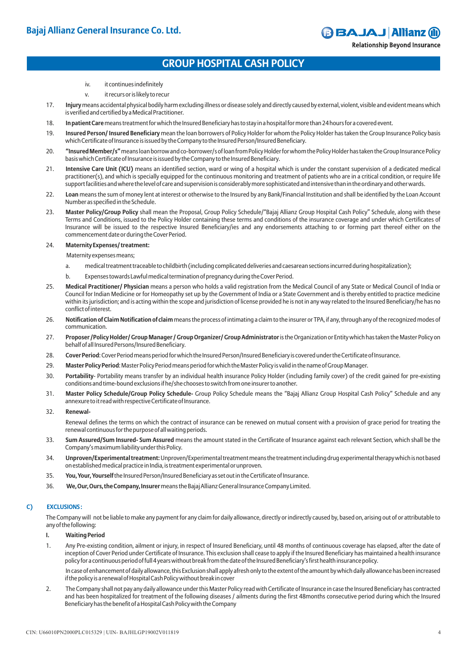**Relationship Beyond Insurance** 

## **GROUP HOSPITAL CASH POLICY**

- iv. it continues indefinitely
- v. it recurs or is likely to recur
- 17. **Injury**means accidental physical bodily harm excluding illness or disease solely and directly caused by external, violent, visible and evident means which is verified and certified by a Medical Practitioner.
- 18. **In patient Care**means treatment for which the Insured Beneficiary has to stay in a hospital for more than 24 hours for a covered event.
- 19. **Insured Person/ Insured Beneficiary** mean the loan borrowers of Policy Holder for whom the Policy Holder has taken the Group Insurance Policy basis which Certificate of Insurance is issued by the Company to the Insured Person/Insured Beneficiary.
- 20. **"Insured Member/s"**means loan borrow and co-borrower/s of loan from Policy Holder for whom the Policy Holder has taken the Group Insurance Policy basis which Certificate of Insurance is issued by the Company to the Insured Beneficiary.
- 21. **Intensive Care Unit (ICU)** means an identified section, ward or wing of a hospital which is under the constant supervision of a dedicated medical practitioner(s), and which is specially equipped for the continuous monitoring and treatment of patients who are in a critical condition, or require life support facilities and where the level of care and supervision is considerably more sophisticated and intensive than in the ordinary and other wards.
- 22. **Loan** means the sum of money lent at interest or otherwise to the Insured by any Bank/Financial Institution and shall be identified by the Loan Account Number as specified in the Schedule.
- 23. **Master Policy/Group Policy** shall mean the Proposal, Group Policy Schedule/"Bajaj Allianz Group Hospital Cash Policy" Schedule, along with these Terms and Conditions, issued to the Policy Holder containing these terms and conditions of the insurance coverage and under which Certificates of Insurance will be issued to the respective Insured Beneficiary/ies and any endorsements attaching to or forming part thereof either on the commencement date or during the Cover Period.

### 24. **Maternity Expenses/ treatment:**

Maternity expenses means;

- a. medical treatment traceable to childbirth (including complicated deliveries and caesarean sections incurred during hospitalization);
- b. Expenses towards Lawful medical termination of pregnancy during the Cover Period.
- 25. **Medical Practitioner/ Physician** means a person who holds a valid registration from the Medical Council of any State or Medical Council of India or Council for Indian Medicine or for Homeopathy set up by the Government of India or a State Government and is thereby entitled to practice medicine within its jurisdiction; and is acting within the scope and jurisdiction of license provided he is not in any way related to the Insured Beneficiary/he has no conflict of interest.
- 26. **Notification of Claim Notification of claim**means the process of intimating a claim to the insurer or TPA, if any, through any of the recognized modes of communication.
- 27. **Proposer /Policy Holder/ Group Manager / Group Organizer/ Group Administrator**is the Organization or Entity which has taken the Master Policy on behalf of all Insured Persons/Insured Beneficiary.
- 28. **Cover Period**: Cover Period means period for which the Insured Person/Insured Beneficiary is covered under the Certificate of Insurance.
- 29. **Master Policy Period**: Master Policy Period means period for which the Master Policy is valid in the name of Group Manager.
- 30. **Portability** Portability means transfer by an individual health insurance Policy Holder (including family cover) of the credit gained for pre-existing conditions and time-bound exclusions if he/she chooses to switch from one insurer to another.
- 31. **Master Policy Schedule/Group Policy Schedule-** Group Policy Schedule means the "Bajaj Allianz Group Hospital Cash Policy" Schedule and any annexure to it read with respective Certificate of Insurance.
- 32. **Renewal-**
	- Renewal defines the terms on which the contract of insurance can be renewed on mutual consent with a provision of grace period for treating the renewal continuous for the purpose of all waiting periods.
- 33. **Sum Assured/Sum Insured- Sum Assured** means the amount stated in the Certificate of Insurance against each relevant Section, which shall be the Company's maximum liability under this Policy.
- 34. **Unproven/Experimental treatment:**Unproven/Experimental treatment means the treatment including drug experimental therapy which is not based on established medical practice in India, is treatment experimental or unproven.
- 35. **You, Your, Yourself** the Insured Person/Insured Beneficiary as set out in the Certificate of Insurance.
- 36. **We, Our, Ours, the Company, Insurer**means the Bajaj Allianz General Insurance Company Limited.

## **C) EXCLUSIONS :**

The Company will not be liable to make any payment for any claim for daily allowance, directly or indirectly caused by, based on, arising out of or attributable to any of the following:

- **I. Waiting Period**
- 1. Any Pre-existing condition, ailment or injury, in respect of Insured Beneficiary, until 48 months of continuous coverage has elapsed, after the date of inception of Cover Period under Certificate of Insurance. This exclusion shall cease to apply if the Insured Beneficiary has maintained a health insurance policy for a continuous period of full 4 years without break from the date of the Insured Beneficiary's first health insurance policy.

In case of enhancement of daily allowance, this Exclusion shall apply afresh only to the extent of the amount by which daily allowance has been increased if the policy is a renewal of Hospital Cash Policy without break in cover

2. The Company shall not pay any daily allowance under this Master Policy read with Certificate of Insurance in case the Insured Beneficiary has contracted and has been hospitalized for treatment of the following diseases / ailments during the first 48months consecutive period during which the Insured Beneficiary has the benefit of a Hospital Cash Policy with the Company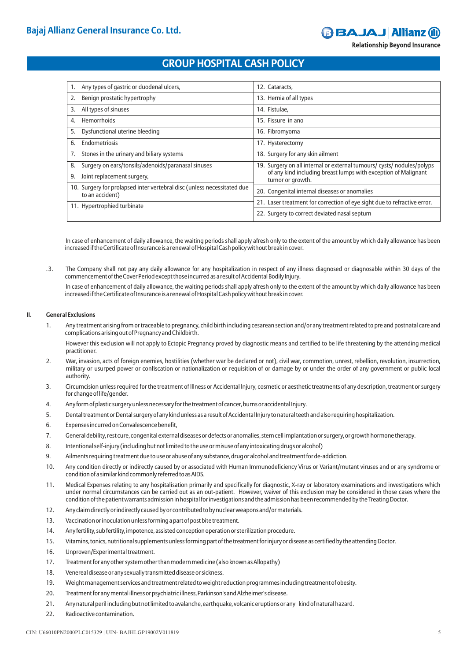**Relationship Beyond Insurance** 

## **GROUP HOSPITAL CASH POLICY**

| Any types of gastric or duodenal ulcers,<br>1.                                             | 12. Cataracts.                                                                                                                           |  |
|--------------------------------------------------------------------------------------------|------------------------------------------------------------------------------------------------------------------------------------------|--|
| Benign prostatic hypertrophy                                                               | 13. Hernia of all types                                                                                                                  |  |
| All types of sinuses<br>3.                                                                 | 14. Fistulae,                                                                                                                            |  |
| Hemorrhoids<br>4.                                                                          | 15. Fissure in ano                                                                                                                       |  |
| Dysfunctional uterine bleeding<br>5.                                                       | 16. Fibromyoma                                                                                                                           |  |
| Endometriosis<br>6.                                                                        | 17. Hysterectomy                                                                                                                         |  |
| Stones in the urinary and biliary systems<br>7.                                            | 18. Surgery for any skin ailment                                                                                                         |  |
| Surgery on ears/tonsils/adenoids/paranasal sinuses<br>8.                                   | 19. Surgery on all internal or external tumours/ cysts/ nodules/polyps<br>of any kind including breast lumps with exception of Malignant |  |
| Joint replacement surgery,<br>9.                                                           | tumor or growth.                                                                                                                         |  |
| 10. Surgery for prolapsed inter vertebral disc (unless necessitated due<br>to an accident) | 20. Congenital internal diseases or anomalies                                                                                            |  |
| 11. Hypertrophied turbinate                                                                | 21. Laser treatment for correction of eye sight due to refractive error.                                                                 |  |
|                                                                                            | 22. Surgery to correct deviated nasal septum                                                                                             |  |

In case of enhancement of daily allowance, the waiting periods shall apply afresh only to the extent of the amount by which daily allowance has been increased if the Certificate of Insurance is a renewal of Hospital Cash policy without break in cover.

. 3. The Company shall not pay any daily allowance for any hospitalization in respect of any illness diagnosed or diagnosable within 30 days of the commencement of the Cover Period except those incurred as a result of Accidental Bodily Injury.

 In case of enhancement of daily allowance, the waiting periods shall apply afresh only to the extent of the amount by which daily allowance has been increased if the Certificate of Insurance is a renewal of Hospital Cash policy without break in cover.

## **II. General Exclusions**

1. Any treatment arising from or traceable to pregnancy, child birth including cesarean section and/or any treatment related to pre and postnatal care and complications arising out of Pregnancy and Childbirth.

However this exclusion will not apply to Ectopic Pregnancy proved by diagnostic means and certified to be life threatening by the attending medical practitioner.

- 2. War, invasion, acts of foreign enemies, hostilities (whether war be declared or not), civil war, commotion, unrest, rebellion, revolution, insurrection, military or usurped power or confiscation or nationalization or requisition of or damage by or under the order of any government or public local authority.
- 3. Circumcision unless required for the treatment of Illness or Accidental Injury, cosmetic or aesthetic treatments of any description, treatment or surgery for change of life/gender.
- 4. Any form of plastic surgery unless necessary for the treatment of cancer, burns or accidental Injury.
- 5. Dental treatment or Dental surgery of any kind unless as a result of Accidental Injury to natural teeth and also requiring hospitalization.
- 6. Expenses incurred on Convalescence benefit,
- 7. General debility, rest cure, congenital external diseases or defects or anomalies, stem cell implantation or surgery, or growth hormone therapy.
- 8. Intentional self-injury (including but not limited to the use or misuse of any intoxicating drugs or alcohol)
- 9. Ailments requiring treatment due to use or abuse of any substance, drug or alcohol and treatment for de-addiction.
- 10. Any condition directly or indirectly caused by or associated with Human Immunodeficiency Virus or Variant/mutant viruses and or any syndrome or condition of a similar kind commonly referred to as AIDS.
- 11. Medical Expenses relating to any hospitalisation primarily and specifically for diagnostic, X-ray or laboratory examinations and investigations which under normal circumstances can be carried out as an out-patient. However, waiver of this exclusion may be considered in those cases where the condition of the patient warrants admission in hospital for investigations and the admission has been recommended by the Treating Doctor.
- 12. Any claim directly or indirectly caused by or contributed to by nuclear weapons and/or materials.
- 13. Vaccination or inoculation unless forming a part of post bite treatment.
- 14. Any fertility, sub fertility, impotence, assisted conception operation or sterilization procedure.
- 15. Vitamins, tonics, nutritional supplements unless forming part of the treatment for injury or disease as certified by the attending Doctor.
- 16. Unproven/Experimental treatment.
- 17. Treatment for any other system other than modern medicine (also known as Allopathy)
- 18. Venereal disease or any sexually transmitted disease or sickness.
- 19. Weight management services and treatment related to weight reduction programmes including treatment of obesity.
- 20. Treatment for any mental illness or psychiatric illness, Parkinson's and Alzheimer's disease.
- 21. Any natural peril including but not limited to avalanche, earthquake, volcanic eruptions or any kind of natural hazard.
- 22. Radioactive contamination.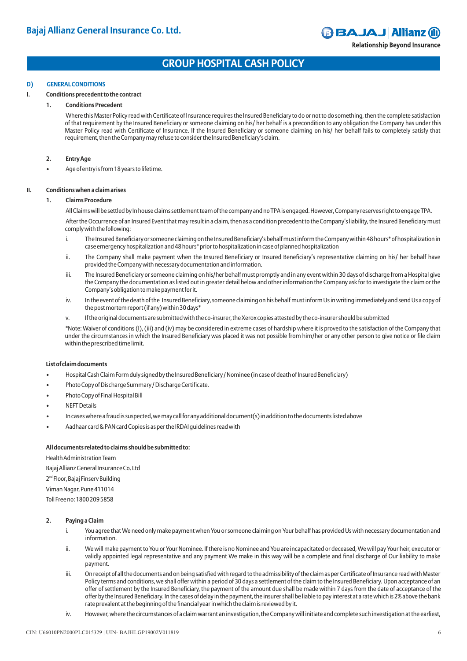## **GROUP HOSPITAL CASH POLICY**

## **D) GENERAL CONDITIONS**

## **I. Conditions precedent to the contract**

## **1. Conditions Precedent**

Where this Master Policy read with Certificate of Insurance requires the Insured Beneficiary to do or not to do something, then the complete satisfaction of that requirement by the Insured Beneficiary or someone claiming on his/ her behalf is a precondition to any obligation the Company has under this Master Policy read with Certificate of Insurance. If the Insured Beneficiary or someone claiming on his/ her behalf fails to completely satisfy that requirement, then the Company may refuse to consider the Insured Beneficiary's claim.

## **2. Entry Age**

• Age of entry is from 18 years to lifetime.

## **II. Conditions when a claim arises**

## **1. Claims Procedure**

All Claims will be settled by In house claims settlement team of the company and no TPA is engaged. However, Company reserves right to engage TPA.

After the Occurrence of an Insured Event that may result in a claim, then as a condition precedent to the Company's liability, the Insured Beneficiary must comply with the following:

- i. The Insured Beneficiary or someone claiming on the Insured Beneficiary's behalf must inform the Company within 48 hours\* of hospitalization in case emergency hospitalization and 48 hours\* prior to hospitalization in case of planned hospitalization
- ii. The Company shall make payment when the Insured Beneficiary or Insured Beneficiary's representative claiming on his/ her behalf have provided the Company with necessary documentation and information.
- iii. The Insured Beneficiary or someone claiming on his/her behalf must promptly and in any event within 30 days of discharge from a Hospital give the Company the documentation as listed out in greater detail below and other information the Company ask for to investigate the claim or the Company's obligation to make payment for it.
- iv. In the event of the death of the Insured Beneficiary, someone claiming on his behalf must inform Us in writing immediately and send Us a copy of the post mortem report (if any) within 30 days\*
- v. If the original documents are submitted with the co-insurer, the Xerox copies attested by the co-insurer should be submitted

\*Note: Waiver of conditions (I), (iii) and (iv) may be considered in extreme cases of hardship where it is proved to the satisfaction of the Company that under the circumstances in which the Insured Beneficiary was placed it was not possible from him/her or any other person to give notice or file claim within the prescribed time limit.

## **List of claim documents**

- Hospital Cash Claim Form duly signed by the Insured Beneficiary / Nominee (in case of death of Insured Beneficiary)
- Photo Copy of Discharge Summary / Discharge Certificate.
- Photo Copy of Final Hospital Bill
- **NEFT Details**
- In cases where a fraud is suspected, we may call for any additional document(s) in addition to the documents listed above
- Aadhaar card & PAN card Copies is as per the IRDAI guidelines read with

## **All documents related to claims should be submitted to:**

Health Administration Team Bajaj Allianz General Insurance Co. Ltd 2<sup>nd</sup> Floor, Bajaj Finserv Building Viman Nagar, Pune 411014 Toll Free no: 1800 209 5858

## **2. Paying a Claim**

- i. You agree that We need only make payment when You or someone claiming on Your behalf has provided Us with necessary documentation and information.
- ii. We will make payment to You or Your Nominee. If there is no Nominee and You are incapacitated or deceased, We will pay Your heir, executor or validly appointed legal representative and any payment We make in this way will be a complete and final discharge of Our liability to make payment.
- iii. On receipt of all the documents and on being satisfied with regard to the admissibility of the claim as per Certificate of Insurance read with Master Policy terms and conditions, we shall offer within a period of 30 days a settlement of the claim to the Insured Beneficiary. Upon acceptance of an offer of settlement by the Insured Beneficiary, the payment of the amount due shall be made within 7 days from the date of acceptance of the offer by the Insured Beneficiary. In the cases of delay in the payment, the insurer shall be liable to pay interest at a rate which is 2% above the bank rate prevalent at the beginning of the financial year in which the claim is reviewed by it.
- iv. However, where the circumstances of a claim warrant an investigation, the Company will initiate and complete such investigation at the earliest,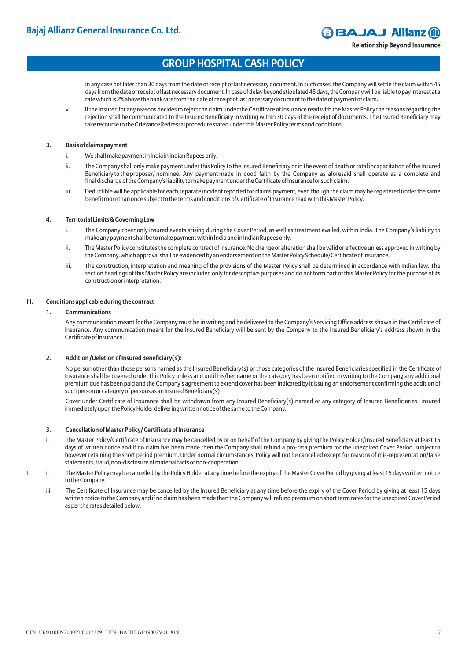**Relationship Beyond Insurance** 

## **GROUP HOSPITAL CASH POLICY**

in any case not later than 30 days from the date of receipt of last necessary document. In such cases, the Company will settle the claim within 45 days from the date of receipt of last necessary document. In case of delay beyond stipulated 45 days, the Company will be liable to pay interest at a rate which is 2% above the bank rate from the date of receipt of last necessary document to the date of payment of claim.

v. If the insurer, for any reasons decides to reject the claim under the Certificate of Insurance read with the Master Policy the reasons regarding the rejection shall be communicated to the Insured Beneficiary in writing within 30 days of the receipt of documents. The Insured Beneficiary may take recourse to the Grievance Redressal procedure stated under this Master Policy terms and conditions.

## **3. Basis of claims payment**

- i. We shall make payment in India in Indian Rupees only.
- ii. The Company shall only make payment under this Policy to the Insured Beneficiary or in the event of death or total incapacitation of the Insured Beneficiary to the proposer/ nominee. Any payment made in good faith by the Company as aforesaid shall operate as a complete and final discharge of the Company's liability to make payment under the Certificate of Insurance for such claim.
- iii. Deductible will be applicable for each separate incident reported for claims payment, even though the claim may be registered under the same benefit more than once subject to the terms and conditions of Certificate of Insurance read with this Master Policy.

## **4. Territorial Limits & Governing Law**

- i. The Company cover only insured events arising during the Cover Period, as well as treatment availed, within India. The Company's liability to make any payment shall be to make payment within India and in Indian Rupees only.
- ii. The Master Policy constitutes the complete contract of insurance. No change or alteration shall be valid or effective unless approved in writing by the Company, which approval shall be evidenced by an endorsement on the Master Policy Schedule/Certificate of Insurance.
- iii. The construction, interpretation and meaning of the provisions of the Master Policy shall be determined in accordance with Indian law. The section headings of this Master Policy are included only for descriptive purposes and do not form part of this Master Policy for the purpose of its construction or interpretation.

## **III. Conditions applicable during the contract**

## **1. Communications**

Any communication meant for the Company must be in writing and be delivered to the Company's Servicing Office address shown in the Certificate of Insurance. Any communication meant for the Insured Beneficiary will be sent by the Company to the Insured Beneficiary's address shown in the Certificate of Insurance.

## **2. Addition /Deletion of Insured Beneficiary(s):**

No person other than those persons named as the Insured Beneficiary(s) or those categories of the Insured Beneficiaries specified in the Certificate of Insurance shall be covered under this Policy unless and until his/her name or the category has been notified in writing to the Company, any additional premium due has been paid and the Company's agreement to extend cover has been indicated by it issuing an endorsement confirming the addition of such person or category of persons as an Insured Beneficiary(s)

Cover under Certificate of Insurance shall be withdrawn from any Insured Beneficiary(s) named or any category of Insured Beneficiaries insured immediately upon the Policy Holder delivering written notice of the same to the Company.

## **3. Cancellation of Master Policy/ Certificate of Insurance**

- i. The Master Policy/Certificate of Insurance may be cancelled by or on behalf of the Company by giving the Policy Holder/Insured Beneficiary at least 15 days of written notice and if no claim has been made then the Company shall refund a pro-rata premium for the unexpired Cover Period, subject to however retaining the short period premium. Under normal circumstances, Policy will not be cancelled except for reasons of mis-representation/false statements, fraud, non-disclosure of material facts or non-cooperation.
- I i. The Master Policy may be cancelled by the Policy Holder at any time before the expiry of the Master Cover Period by giving at least 15 days written notice to the Company.
	- iii. The Certificate of Insurance may be cancelled by the Insured Beneficiary at any time before the expiry of the Cover Period by giving at least 15 days written notice to the Company and if no claim has been made then the Company will refund premium on short term rates for the unexpired Cover Period as per the rates detailed below.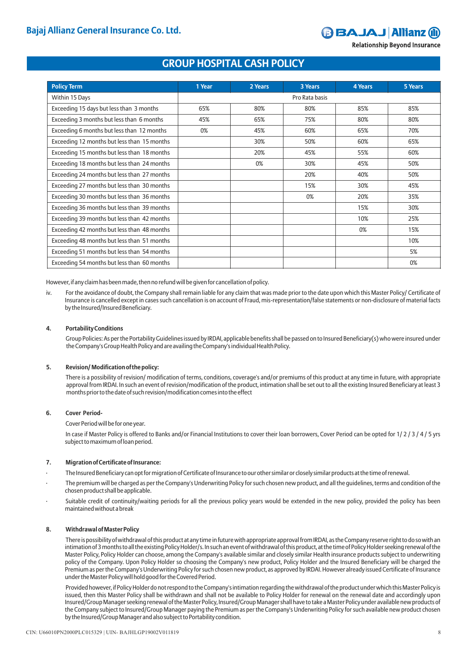# **GAJAJ Allianz (il)**

**Relationship Beyond Insurance** 

## **GROUP HOSPITAL CASH POLICY**

| <b>Policy Term</b>                          | 1 Year         | 2 Years | 3 Years | <b>4 Years</b> | <b>5 Years</b> |
|---------------------------------------------|----------------|---------|---------|----------------|----------------|
| Within 15 Days                              | Pro Rata basis |         |         |                |                |
| Exceeding 15 days but less than 3 months    | 65%            | 80%     | 80%     | 85%            | 85%            |
| Exceeding 3 months but less than 6 months   | 45%            | 65%     | 75%     | 80%            | 80%            |
| Exceeding 6 months but less than 12 months  | 0%             | 45%     | 60%     | 65%            | 70%            |
| Exceeding 12 months but less than 15 months |                | 30%     | 50%     | 60%            | 65%            |
| Exceeding 15 months but less than 18 months |                | 20%     | 45%     | 55%            | 60%            |
| Exceeding 18 months but less than 24 months |                | 0%      | 30%     | 45%            | 50%            |
| Exceeding 24 months but less than 27 months |                |         | 20%     | 40%            | 50%            |
| Exceeding 27 months but less than 30 months |                |         | 15%     | 30%            | 45%            |
| Exceeding 30 months but less than 36 months |                |         | 0%      | 20%            | 35%            |
| Exceeding 36 months but less than 39 months |                |         |         | 15%            | 30%            |
| Exceeding 39 months but less than 42 months |                |         |         | 10%            | 25%            |
| Exceeding 42 months but less than 48 months |                |         |         | 0%             | 15%            |
| Exceeding 48 months but less than 51 months |                |         |         |                | 10%            |
| Exceeding 51 months but less than 54 months |                |         |         |                | 5%             |
| Exceeding 54 months but less than 60 months |                |         |         |                | 0%             |

However, if any claim has been made, then no refund will be given for cancellation of policy.

iv. For the avoidance of doubt, the Company shall remain liable for any claim that was made prior to the date upon which this Master Policy/ Certificate of Insurance is cancelled except in cases such cancellation is on account of Fraud, mis-representation/false statements or non-disclosure of material facts by the Insured/Insured Beneficiary.

## **4. Portability Conditions**

Group Policies: As per the Portability Guidelines issued by IRDAI, applicable benefits shall be passed on to Insured Beneficiary(s) who were insured under the Company's Group Health Policy and are availing the Company's individual Health Policy.

## **5. Revision/ Modification of the policy:**

There is a possibility of revision/ modification of terms, conditions, coverage's and/or premiums of this product at any time in future, with appropriate approval from IRDAI. In such an event of revision/modification of the product, intimation shall be set out to all the existing Insured Beneficiary at least 3 months prior to the date of such revision/modification comes into the effect

## **6. Cover Period-**

Cover Period will be for one year.

In case if Master Policy is offered to Banks and/or Financial Institutions to cover their loan borrowers, Cover Period can be opted for 1/ 2 / 3 / 4 / 5 yrs subject to maximum of loan period.

## **7. Migration of Certificate of Insurance:**

- · The Insured Beneficiary can opt for migration of Certificate of Insurance to our other similar or closely similar products at the time of renewal.
- The premium will be charged as per the Company's Underwriting Policy for such chosen new product, and all the guidelines, terms and condition of the chosen product shall be applicable.
- Suitable credit of continuity/waiting periods for all the previous policy years would be extended in the new policy, provided the policy has been maintained without a break

## **8. Withdrawal of Master Policy**

There is possibility of withdrawal of this product at any time in future with appropriate approval from IRDAI, as the Company reserve right to do so with an intimation of 3 months to all the existing Policy Holder/s. In such an event of withdrawal of this product, at the time of Policy Holder seeking renewal of the Master Policy, Policy Holder can choose, among the Company's available similar and closely similar Health insurance products subject to underwriting policy of the Company. Upon Policy Holder so choosing the Company's new product, Policy Holder and the Insured Beneficiary will be charged the Premium as per the Company's Underwriting Policy for such chosen new product, as approved by IRDAI. However already issued Certificate of Insurance under the Master Policy will hold good for the Covered Period.

Provided however, if Policy Holder do not respond to the Company's intimation regarding the withdrawal of the product under which this Master Policy is issued, then this Master Policy shall be withdrawn and shall not be available to Policy Holder for renewal on the renewal date and accordingly upon Insured/Group Manager seeking renewal of the Master Policy, Insured/Group Manager shall have to take a Master Policy under available new products of the Company subject to Insured/Group Manager paying the Premium as per the Company's Underwriting Policy for such available new product chosen by the Insured/Group Manager and also subject to Portability condition.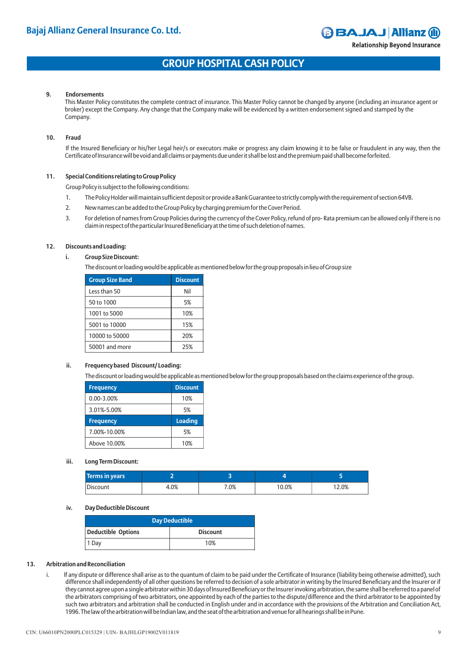**Relationship Beyond Insurance** 

## **GROUP HOSPITAL CASH POLICY**

### **9. Endorsements**

This Master Policy constitutes the complete contract of insurance. This Master Policy cannot be changed by anyone (including an insurance agent or broker) except the Company. Any change that the Company make will be evidenced by a written endorsement signed and stamped by the Company.

#### **10. Fraud**

If the Insured Beneficiary or his/her Legal heir/s or executors make or progress any claim knowing it to be false or fraudulent in any way, then the Certificate of Insurance will be void and all claims or payments due under it shall be lost and the premium paid shall become forfeited.

## **11. Special Conditions relating to Group Policy**

Group Policy is subject to the following conditions:

- 1. The Policy Holder will maintain sufficient deposit or provide a Bank Guarantee to strictly comply with the requirement of section 64VB.
- 2. New names can be added to the Group Policy by charging premium for the Cover Period.
- 3. For deletion of names from Group Policies during the currency of the Cover Policy, refund of pro- Rata premium can be allowed only if there is no claim in respect of the particular Insured Beneficiary at the time of such deletion of names.

#### **12. Discounts and Loading:**

**i. Group Size Discount:**

The discount or loading would be applicable as mentioned below for the group proposals in lieu of Group size

| <b>Group Size Band</b> | <b>Discount</b> |  |
|------------------------|-----------------|--|
| Less than 50           | Nil             |  |
| 50 to 1000             | 5%              |  |
| 1001 to 5000           | 10%             |  |
| 5001 to 10000          | 15%             |  |
| 10000 to 50000         | 20%             |  |
| 50001 and more         | 25%             |  |

### **ii. Frequency based Discount/ Loading:**

The discount or loading would be applicable as mentioned below for the group proposals based on the claims experience of the group.

| <b>Frequency</b> | <b>Discount</b> |  |
|------------------|-----------------|--|
| $0.00 - 3.00%$   | 10%             |  |
| 3.01%-5.00%      | 5%              |  |
|                  |                 |  |
| <b>Frequency</b> | <b>Loading</b>  |  |
| 7.00%-10.00%     | 5%              |  |

#### **iii. Long Term Discount:**

| Terms in years |      |        |      |      |
|----------------|------|--------|------|------|
| Discount       | 4.0% | $.0\%$ | 0.0% | 2.0% |

#### **iv. Day Deductible Discount**

| <b>Day Deductible</b> |                 |  |  |
|-----------------------|-----------------|--|--|
| Deductible Options    | <b>Discount</b> |  |  |
| Day                   | 10%             |  |  |

### **13. Arbitration and Reconciliation**

i. If any dispute or difference shall arise as to the quantum of claim to be paid under the Certificate of Insurance (liability being otherwise admitted), such difference shall independently of all other questions be referred to decision of a sole arbitrator in writing by the Insured Beneficiary and the Insurer or if they cannot agree upon a single arbitrator within 30 days of Insured Beneficiary or the Insurer invoking arbitration, the same shall be referred to a panel of the arbitrators comprising of two arbitrators, one appointed by each of the parties to the dispute/difference and the third arbitrator to be appointed by such two arbitrators and arbitration shall be conducted in English under and in accordance with the provisions of the Arbitration and Conciliation Act, 1996. The law of the arbitration will be Indian law, and the seat of the arbitration and venue for all hearings shall be in Pune.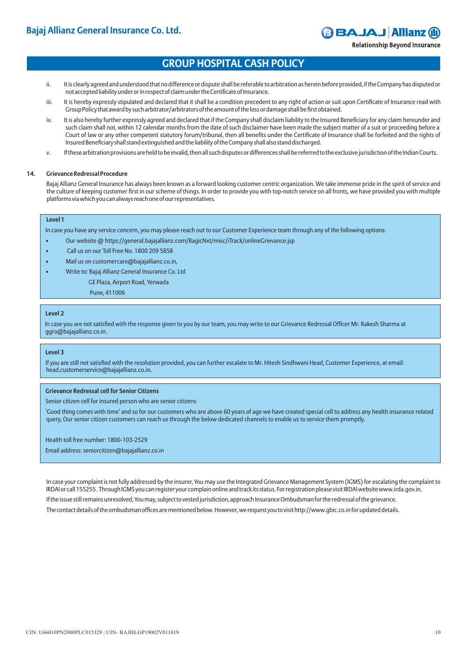**Relationship Beyond Insurance** 

## **GROUP HOSPITAL CASH POLICY**

- ii. It is clearly agreed and understood that no difference or dispute shall be referable to arbitration as herein before provided, if the Company has disputed or not accepted liability under or in respect of claim under the Certificate of Insurance.
- iii. It is hereby expressly stipulated and declared that it shall be a condition precedent to any right of action or suit upon Certificate of Insurance read with Group Policy that award by such arbitrator/arbitrators of the amount of the loss or damage shall be first obtained.
- iv. It is also hereby further expressly agreed and declared that if the Company shall disclaim liability to the Insured Beneficiary for any claim hereunder and such claim shall not, within 12 calendar months from the date of such disclaimer have been made the subject matter of a suit or proceeding before a Court of law or any other competent statutory forum/tribunal, then all benefits under the Certificate of Insurance shall be forfeited and the rights of Insured Beneficiary shall stand extinguished and the liability of the Company shall also stand discharged.
- v. If these arbitration provisions are held to be invalid, then all such disputes or differences shall be referred to the exclusive jurisdiction of the Indian Courts.

## **14. Grievance Redressal Procedure**

Bajaj Allianz General Insurance has always been known as a forward looking customer centric organization. We take immense pride in the spirit of service and the culture of keeping customer first in our scheme of things. In order to provide you with top-notch service on all fronts, we have provided you with multiple platforms via which you can always reach one of our representatives.

## **Level 1**

In case you have any service concern, you may please reach out to our Customer Experience team through any of the following options:

- Our website @ https://general.bajajallianz.com/BagicNxt/misc/iTrack/onlineGrievance.jsp
- Call us on our Toll Free No. 1800 209 5858
- Mail us on customercare@bajajallianz.co.in,
	- Write to: Bajaj Allianz General Insurance Co. Ltd GE Plaza, Airport Road, Yerwada

Pune, 411006

## **Level 2**

In case you are not satisfied with the response given to you by our team, you may write to our Grievance Redressal Officer Mr. Rakesh Sharma at ggro@bajajallianz.co.in.

## **Level 3**

If you are still not satisfied with the resolution provided, you can further escalate to Mr. Hitesh Sindhwani Head, Customer Experience, at email: head.customerservice@bajajallianz.co.in.

## **Grievance Redressal cell for Senior Citizens**

Senior citizen cell for insured person who are senior citizens

'Good thing comes with time' and so for our customers who are above 60 years of age we have created special cell to address any health insurance related query, Our senior citizen customers can reach us through the below dedicated channels to enable us to service them promptly.

Health toll free number: 1800-103-2529

Email address: seniorcitizen@bajajallianz.co.in

In case your complaint is not fully addressed by the insurer, You may use the Integrated Grievance Management System (IGMS) for escalating the complaint to IRDAI or call 155255 . Through IGMS you can register your complain online and track its status. For registration please visit IRDAI website www.irda.gov.in. If the issue still remains unresolved, You may, subject to vested jurisdiction, approach Insurance Ombudsman for the redressal of the grievance. The contact details of the ombudsman offices are mentioned below. However, we request you to visit http://www.gbic.co.in for updated details.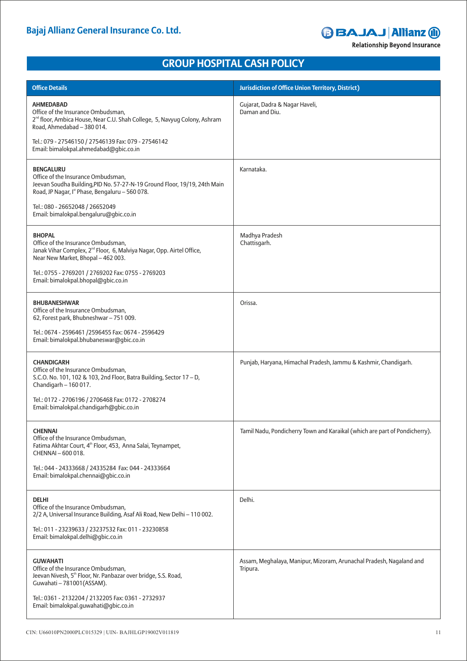# **BBAJAJ Allianz @**

**Relationship Beyond Insurance** 

# **GROUP HOSPITAL CASH POLICY**

| <b>Office Details</b>                                                                                                                                                                              | <b>Jurisdiction of Office Union Territory, District)</b>                        |
|----------------------------------------------------------------------------------------------------------------------------------------------------------------------------------------------------|---------------------------------------------------------------------------------|
| <b>AHMEDABAD</b><br>Office of the Insurance Ombudsman,<br>2 <sup>nd</sup> floor, Ambica House, Near C.U. Shah College, 5, Navyug Colony, Ashram<br>Road, Ahmedabad - 380 014.                      | Gujarat, Dadra & Nagar Haveli,<br>Daman and Diu.                                |
| Tel.: 079 - 27546150 / 27546139 Fax: 079 - 27546142<br>Email: bimalokpal.ahmedabad@gbic.co.in                                                                                                      |                                                                                 |
| <b>BENGALURU</b><br>Office of the Insurance Ombudsman,<br>Jeevan Soudha Building, PID No. 57-27-N-19 Ground Floor, 19/19, 24th Main<br>Road, JP Nagar, I <sup>st</sup> Phase, Bengaluru - 560 078. | Karnataka.                                                                      |
| Tel.: 080 - 26652048 / 26652049<br>Email: bimalokpal.bengaluru@gbic.co.in                                                                                                                          |                                                                                 |
| <b>BHOPAL</b><br>Office of the Insurance Ombudsman,<br>Janak Vihar Complex, 2 <sup>nd</sup> Floor, 6, Malviya Nagar, Opp. Airtel Office,<br>Near New Market, Bhopal - 462 003.                     | Madhya Pradesh<br>Chattisgarh.                                                  |
| Tel.: 0755 - 2769201 / 2769202 Fax: 0755 - 2769203<br>Email: bimalokpal.bhopal@gbic.co.in                                                                                                          |                                                                                 |
| <b>BHUBANESHWAR</b><br>Office of the Insurance Ombudsman,<br>62, Forest park, Bhubneshwar - 751 009.                                                                                               | Orissa.                                                                         |
| Tel.: 0674 - 2596461 /2596455 Fax: 0674 - 2596429<br>Email: bimalokpal.bhubaneswar@gbic.co.in                                                                                                      |                                                                                 |
| <b>CHANDIGARH</b><br>Office of the Insurance Ombudsman,<br>S.C.O. No. 101, 102 & 103, 2nd Floor, Batra Building, Sector 17 - D,<br>Chandigarh - 160 017.                                           | Punjab, Haryana, Himachal Pradesh, Jammu & Kashmir, Chandigarh.                 |
| Tel.: 0172 - 2706196 / 2706468 Fax: 0172 - 2708274<br>Email: bimalokpal.chandigarh@gbic.co.in                                                                                                      |                                                                                 |
| <b>CHENNAI</b><br>Office of the Insurance Ombudsman,<br>Fatima Akhtar Court, 4 <sup>th</sup> Floor, 453, Anna Salai, Teynampet,<br>CHENNAI - 600 018.                                              | Tamil Nadu, Pondicherry Town and Karaikal (which are part of Pondicherry).      |
| Tel.: 044 - 24333668 / 24335284 Fax: 044 - 24333664<br>Email: bimalokpal.chennai@gbic.co.in                                                                                                        |                                                                                 |
| <b>DELHI</b><br>Office of the Insurance Ombudsman,<br>2/2 A, Universal Insurance Building, Asaf Ali Road, New Delhi - 110 002.                                                                     | Delhi.                                                                          |
| Tel.: 011 - 23239633 / 23237532 Fax: 011 - 23230858<br>Email: bimalokpal.delhi@gbic.co.in                                                                                                          |                                                                                 |
| <b>GUWAHATI</b><br>Office of the Insurance Ombudsman,<br>Jeevan Nivesh, 5 <sup>th</sup> Floor, Nr. Panbazar over bridge, S.S. Road,<br>Guwahati - 781001 (ASSAM).                                  | Assam, Meghalaya, Manipur, Mizoram, Arunachal Pradesh, Nagaland and<br>Tripura. |
| Tel.: 0361 - 2132204 / 2132205 Fax: 0361 - 2732937<br>Email: bimalokpal.guwahati@gbic.co.in                                                                                                        |                                                                                 |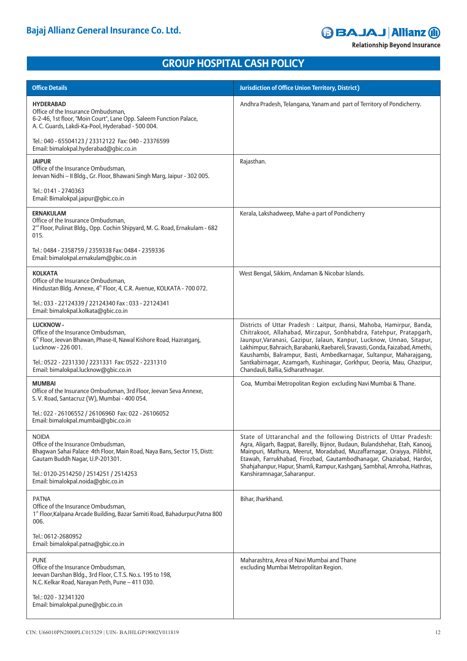# **BBAJAJ Allianz @**

**Relationship Beyond Insurance** 

# **GROUP HOSPITAL CASH POLICY**

| <b>Office Details</b>                                                                                                                                                             | <b>Jurisdiction of Office Union Territory, District)</b>                                                                                                                                                                                                                                                                                                                         |
|-----------------------------------------------------------------------------------------------------------------------------------------------------------------------------------|----------------------------------------------------------------------------------------------------------------------------------------------------------------------------------------------------------------------------------------------------------------------------------------------------------------------------------------------------------------------------------|
| <b>HYDERABAD</b><br>Office of the Insurance Ombudsman,<br>6-2-46, 1st floor, "Moin Court", Lane Opp. Saleem Function Palace,<br>A. C. Guards, Lakdi-Ka-Pool, Hyderabad - 500 004. | Andhra Pradesh, Telangana, Yanam and part of Territory of Pondicherry.                                                                                                                                                                                                                                                                                                           |
| Tel.: 040 - 65504123 / 23312122 Fax: 040 - 23376599<br>Email: bimalokpal.hyderabad@gbic.co.in                                                                                     |                                                                                                                                                                                                                                                                                                                                                                                  |
| <b>JAIPUR</b><br>Office of the Insurance Ombudsman,<br>Jeevan Nidhi - II Bldg., Gr. Floor, Bhawani Singh Marg, Jaipur - 302 005.                                                  | Rajasthan.                                                                                                                                                                                                                                                                                                                                                                       |
| Tel.: 0141 - 2740363<br>Email: Bimalokpal.jaipur@gbic.co.in                                                                                                                       |                                                                                                                                                                                                                                                                                                                                                                                  |
| <b>ERNAKULAM</b><br>Office of the Insurance Ombudsman,<br>2 <sup>nd</sup> Floor, Pulinat Bldg., Opp. Cochin Shipyard, M. G. Road, Ernakulam - 682<br>015.                         | Kerala, Lakshadweep, Mahe-a part of Pondicherry                                                                                                                                                                                                                                                                                                                                  |
| Tel.: 0484 - 2358759 / 2359338 Fax: 0484 - 2359336<br>Email: bimalokpal.ernakulam@gbic.co.in                                                                                      |                                                                                                                                                                                                                                                                                                                                                                                  |
| <b>KOLKATA</b><br>Office of the Insurance Ombudsman,<br>Hindustan Bldg. Annexe, 4 <sup>th</sup> Floor, 4, C.R. Avenue, KOLKATA - 700 072.                                         | West Bengal, Sikkim, Andaman & Nicobar Islands.                                                                                                                                                                                                                                                                                                                                  |
| Tel.: 033 - 22124339 / 22124340 Fax: 033 - 22124341<br>Email: bimalokpal.kolkata@gbic.co.in                                                                                       |                                                                                                                                                                                                                                                                                                                                                                                  |
| <b>LUCKNOW -</b><br>Office of the Insurance Ombudsman,<br>6 <sup>th</sup> Floor, Jeevan Bhawan, Phase-II, Nawal Kishore Road, Hazratganj,<br>Lucknow - 226 001.                   | Districts of Uttar Pradesh : Laitpur, Jhansi, Mahoba, Hamirpur, Banda,<br>Chitrakoot, Allahabad, Mirzapur, Sonbhabdra, Fatehpur, Pratapgarh,<br>Jaunpur, Varanasi, Gazipur, Jalaun, Kanpur, Lucknow, Unnao, Sitapur,<br>Lakhimpur, Bahraich, Barabanki, Raebareli, Sravasti, Gonda, Faizabad, Amethi,<br>Kaushambi, Balrampur, Basti, Ambedkarnagar, Sultanpur, Maharajgang,     |
| Tel.: 0522 - 2231330 / 2231331 Fax: 0522 - 2231310<br>Email: bimalokpal.lucknow@gbic.co.in                                                                                        | Santkabirnagar, Azamgarh, Kushinagar, Gorkhpur, Deoria, Mau, Ghazipur,<br>Chandauli, Ballia, Sidharathnagar.                                                                                                                                                                                                                                                                     |
| <b>MUMBAI</b><br>Office of the Insurance Ombudsman, 3rd Floor, Jeevan Seva Annexe,<br>S. V. Road, Santacruz (W), Mumbai - 400 054.                                                | Goa, Mumbai Metropolitan Region excluding Navi Mumbai & Thane.                                                                                                                                                                                                                                                                                                                   |
| Tel.: 022 - 26106552 / 26106960 Fax: 022 - 26106052<br>Email: bimalokpal.mumbai@gbic.co.in                                                                                        |                                                                                                                                                                                                                                                                                                                                                                                  |
| <b>NOIDA</b><br>Office of the Insurance Ombudsman,<br>Bhagwan Sahai Palace 4th Floor, Main Road, Naya Bans, Sector 15, Distt:<br>Gautam Buddh Nagar, U.P-201301.                  | State of Uttaranchal and the following Districts of Uttar Pradesh:<br>Agra, Aligarh, Bagpat, Bareilly, Bijnor, Budaun, Bulandshehar, Etah, Kanooj,<br>Mainpuri, Mathura, Meerut, Moradabad, Muzaffarnagar, Oraiyya, Pilibhit,<br>Etawah, Farrukhabad, Firozbad, Gautambodhanagar, Ghaziabad, Hardoi,<br>Shahjahanpur, Hapur, Shamli, Rampur, Kashganj, Sambhal, Amroha, Hathras, |
| Tel.: 0120-2514250 / 2514251 / 2514253<br>Email: bimalokpal.noida@gbic.co.in                                                                                                      | Kanshiramnagar, Saharanpur.                                                                                                                                                                                                                                                                                                                                                      |
| <b>PATNA</b><br>Office of the Insurance Ombudsman,<br>1 <sup>st</sup> Floor, Kalpana Arcade Building, Bazar Samiti Road, Bahadurpur, Patna 800<br>006.                            | Bihar, Jharkhand.                                                                                                                                                                                                                                                                                                                                                                |
| Tel.: 0612-2680952<br>Email: bimalokpal.patna@gbic.co.in                                                                                                                          |                                                                                                                                                                                                                                                                                                                                                                                  |
| <b>PUNE</b><br>Office of the Insurance Ombudsman,<br>Jeevan Darshan Bldg., 3rd Floor, C.T.S. No.s. 195 to 198,<br>N.C. Kelkar Road, Narayan Peth, Pune - 411 030.                 | Maharashtra, Area of Navi Mumbai and Thane<br>excluding Mumbai Metropolitan Region.                                                                                                                                                                                                                                                                                              |
| Tel.: 020 - 32341320<br>Email: bimalokpal.pune@gbic.co.in                                                                                                                         |                                                                                                                                                                                                                                                                                                                                                                                  |